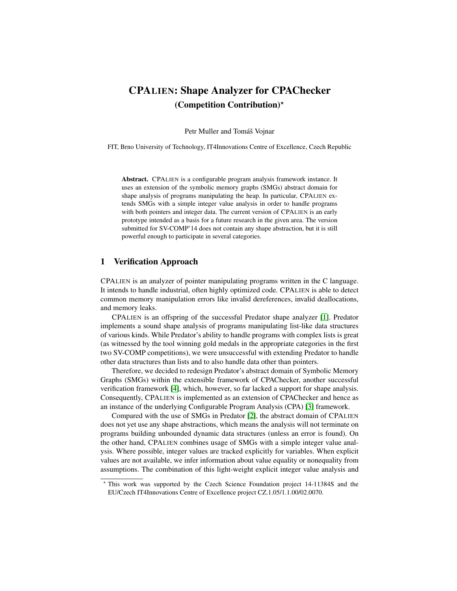# CPALIEN: Shape Analyzer for CPAChecker (Competition Contribution)?

Petr Muller and Tomáš Vojnar

FIT, Brno University of Technology, IT4Innovations Centre of Excellence, Czech Republic

Abstract. CPALIEN is a configurable program analysis framework instance. It uses an extension of the symbolic memory graphs (SMGs) abstract domain for shape analysis of programs manipulating the heap. In particular, CPALIEN extends SMGs with a simple integer value analysis in order to handle programs with both pointers and integer data. The current version of CPALIEN is an early prototype intended as a basis for a future research in the given area. The version submitted for SV-COMP'14 does not contain any shape abstraction, but it is still powerful enough to participate in several categories.

## 1 Verification Approach

CPALIEN is an analyzer of pointer manipulating programs written in the C language. It intends to handle industrial, often highly optimized code. CPALIEN is able to detect common memory manipulation errors like invalid dereferences, invalid deallocations, and memory leaks.

CPALIEN is an offspring of the successful Predator shape analyzer [\[1\]](#page-2-0). Predator implements a sound shape analysis of programs manipulating list-like data structures of various kinds. While Predator's ability to handle programs with complex lists is great (as witnessed by the tool winning gold medals in the appropriate categories in the first two SV-COMP competitions), we were unsuccessful with extending Predator to handle other data structures than lists and to also handle data other than pointers.

Therefore, we decided to redesign Predator's abstract domain of Symbolic Memory Graphs (SMGs) within the extensible framework of CPAChecker, another successful verification framework [\[4\]](#page-2-1), which, however, so far lacked a support for shape analysis. Consequently, CPALIEN is implemented as an extension of CPAChecker and hence as an instance of the underlying Configurable Program Analysis (CPA) [\[3\]](#page-2-2) framework.

Compared with the use of SMGs in Predator [\[2\]](#page-2-3), the abstract domain of CPALIEN does not yet use any shape abstractions, which means the analysis will not terminate on programs building unbounded dynamic data structures (unless an error is found). On the other hand, CPALIEN combines usage of SMGs with a simple integer value analysis. Where possible, integer values are tracked explicitly for variables. When explicit values are not available, we infer information about value equality or nonequality from assumptions. The combination of this light-weight explicit integer value analysis and

<sup>?</sup> This work was supported by the Czech Science Foundation project 14-11384S and the EU/Czech IT4Innovations Centre of Excellence project CZ.1.05/1.1.00/02.0070.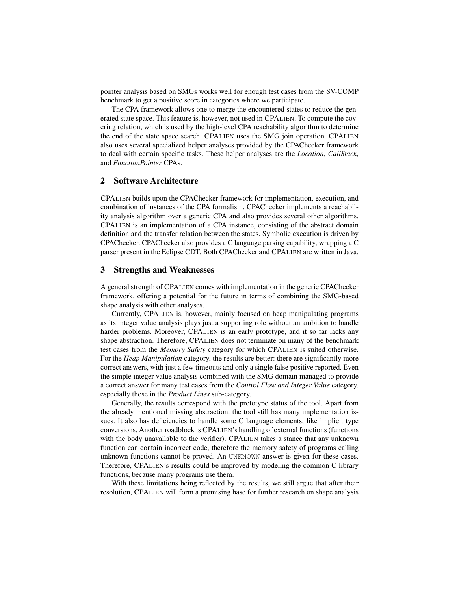pointer analysis based on SMGs works well for enough test cases from the SV-COMP benchmark to get a positive score in categories where we participate.

The CPA framework allows one to merge the encountered states to reduce the generated state space. This feature is, however, not used in CPALIEN. To compute the covering relation, which is used by the high-level CPA reachability algorithm to determine the end of the state space search, CPALIEN uses the SMG join operation. CPALIEN also uses several specialized helper analyses provided by the CPAChecker framework to deal with certain specific tasks. These helper analyses are the *Location*, *CallStack*, and *FunctionPointer* CPAs.

## 2 Software Architecture

CPALIEN builds upon the CPAChecker framework for implementation, execution, and combination of instances of the CPA formalism. CPAChecker implements a reachability analysis algorithm over a generic CPA and also provides several other algorithms. CPALIEN is an implementation of a CPA instance, consisting of the abstract domain definition and the transfer relation between the states. Symbolic execution is driven by CPAChecker. CPAChecker also provides a C language parsing capability, wrapping a C parser present in the Eclipse CDT. Both CPAChecker and CPALIEN are written in Java.

### 3 Strengths and Weaknesses

A general strength of CPALIEN comes with implementation in the generic CPAChecker framework, offering a potential for the future in terms of combining the SMG-based shape analysis with other analyses.

Currently, CPALIEN is, however, mainly focused on heap manipulating programs as its integer value analysis plays just a supporting role without an ambition to handle harder problems. Moreover, CPALIEN is an early prototype, and it so far lacks any shape abstraction. Therefore, CPALIEN does not terminate on many of the benchmark test cases from the *Memory Safety* category for which CPALIEN is suited otherwise. For the *Heap Manipulation* category, the results are better: there are significantly more correct answers, with just a few timeouts and only a single false positive reported. Even the simple integer value analysis combined with the SMG domain managed to provide a correct answer for many test cases from the *Control Flow and Integer Value* category, especially those in the *Product Lines* sub-category.

Generally, the results correspond with the prototype status of the tool. Apart from the already mentioned missing abstraction, the tool still has many implementation issues. It also has deficiencies to handle some C language elements, like implicit type conversions. Another roadblock is CPALIEN's handling of external functions (functions with the body unavailable to the verifier). CPALIEN takes a stance that any unknown function can contain incorrect code, therefore the memory safety of programs calling unknown functions cannot be proved. An UNKNOWN answer is given for these cases. Therefore, CPALIEN's results could be improved by modeling the common C library functions, because many programs use them.

With these limitations being reflected by the results, we still argue that after their resolution, CPALIEN will form a promising base for further research on shape analysis